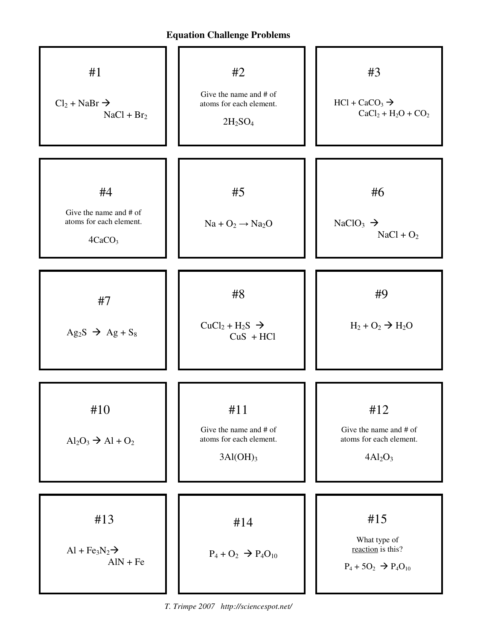

*T. Trimpe 2007 http://sciencespot.net/*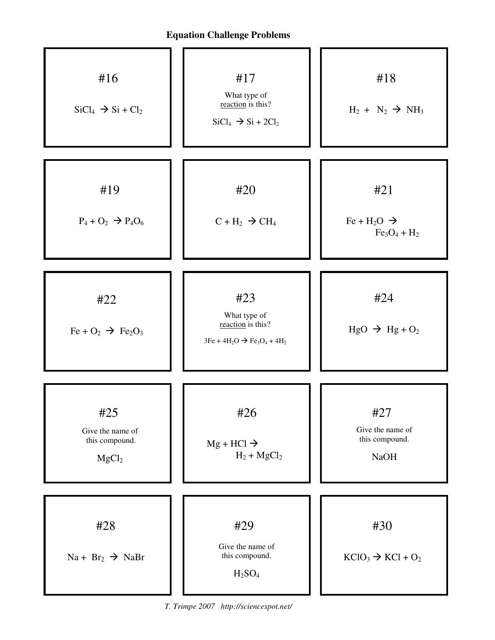

*T. Trimpe 2007 http://sciencespot.net/*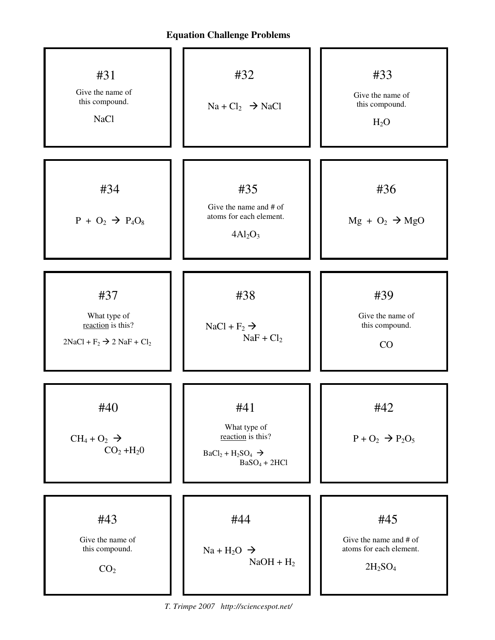

*T. Trimpe 2007 http://sciencespot.net/*